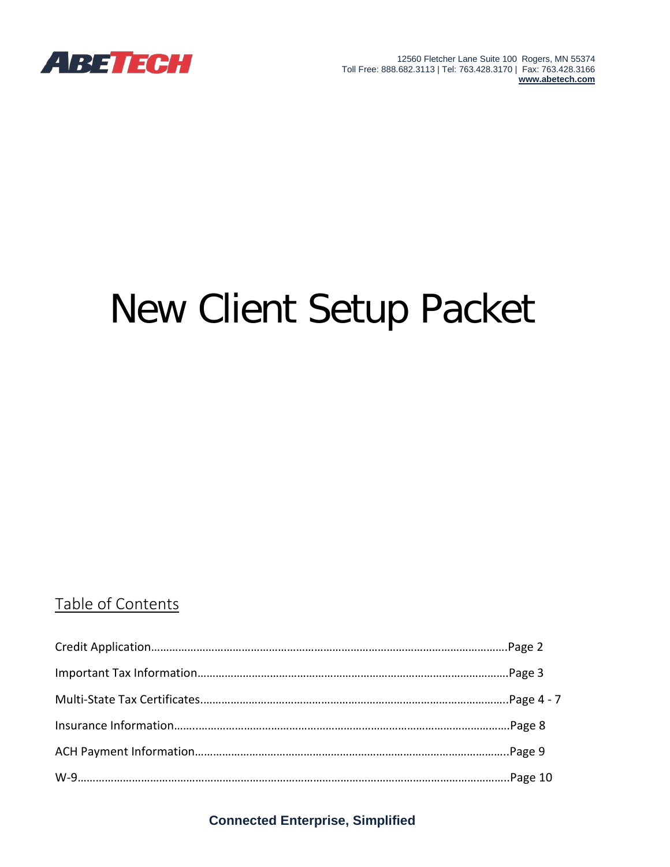

12560 Fletcher Lane Suite 100 Rogers, MN 55374 Toll Free: 888.682.3113 | Tel: 763.428.3170 | Fax: 763.428.3166 **[www.abetech.com](http://www.abetech.com/)**

# New Client Setup Packet

## Table of Contents

**Connected Enterprise, Simplified**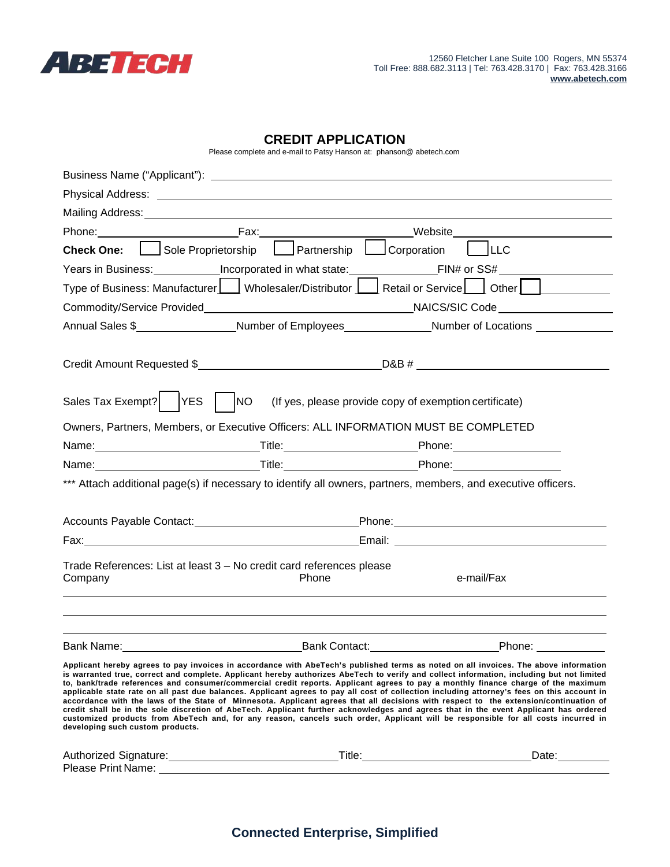

**developing such custom products.**

#### **CREDIT APPLICATION**

Please complete and e-mail to Patsy Hanson at: [phanson@ abetech.com](mailto:phanson@abetech.com)

| Mailing Address: University of the Mailing Address and the Mailing Address and the Mail Section of the Mail Section 1997 |              |                                                                                                                                                                                                                                                                                                                                                                                                                                                                                                                                                                                                                                                                                                                                                                                                                                                                                                                                                                                             |  |
|--------------------------------------------------------------------------------------------------------------------------|--------------|---------------------------------------------------------------------------------------------------------------------------------------------------------------------------------------------------------------------------------------------------------------------------------------------------------------------------------------------------------------------------------------------------------------------------------------------------------------------------------------------------------------------------------------------------------------------------------------------------------------------------------------------------------------------------------------------------------------------------------------------------------------------------------------------------------------------------------------------------------------------------------------------------------------------------------------------------------------------------------------------|--|
|                                                                                                                          |              | Phone: Fax: Fax: Website Website                                                                                                                                                                                                                                                                                                                                                                                                                                                                                                                                                                                                                                                                                                                                                                                                                                                                                                                                                            |  |
| Check One: Sole Proprietorship Partnership Corporation                                                                   |              | $ $ $ $ LLC                                                                                                                                                                                                                                                                                                                                                                                                                                                                                                                                                                                                                                                                                                                                                                                                                                                                                                                                                                                 |  |
|                                                                                                                          |              |                                                                                                                                                                                                                                                                                                                                                                                                                                                                                                                                                                                                                                                                                                                                                                                                                                                                                                                                                                                             |  |
|                                                                                                                          |              | Type of Business: Manufacturer   $\Box$ Wholesaler/Distributor $\Box$ Retail or Service $\Box$ Other                                                                                                                                                                                                                                                                                                                                                                                                                                                                                                                                                                                                                                                                                                                                                                                                                                                                                        |  |
|                                                                                                                          |              |                                                                                                                                                                                                                                                                                                                                                                                                                                                                                                                                                                                                                                                                                                                                                                                                                                                                                                                                                                                             |  |
|                                                                                                                          |              |                                                                                                                                                                                                                                                                                                                                                                                                                                                                                                                                                                                                                                                                                                                                                                                                                                                                                                                                                                                             |  |
|                                                                                                                          |              |                                                                                                                                                                                                                                                                                                                                                                                                                                                                                                                                                                                                                                                                                                                                                                                                                                                                                                                                                                                             |  |
|                                                                                                                          |              | Credit Amount Requested \$                                                                                                                                                                                                                                                                                                                                                                                                                                                                                                                                                                                                                                                                                                                                                                                                                                                                                                                                                                  |  |
|                                                                                                                          |              | Sales Tax Exempt? $\vert$ YES $\vert$ $\vert$ NO (If yes, please provide copy of exemption certificate)                                                                                                                                                                                                                                                                                                                                                                                                                                                                                                                                                                                                                                                                                                                                                                                                                                                                                     |  |
|                                                                                                                          |              | Owners, Partners, Members, or Executive Officers: ALL INFORMATION MUST BE COMPLETED                                                                                                                                                                                                                                                                                                                                                                                                                                                                                                                                                                                                                                                                                                                                                                                                                                                                                                         |  |
|                                                                                                                          |              |                                                                                                                                                                                                                                                                                                                                                                                                                                                                                                                                                                                                                                                                                                                                                                                                                                                                                                                                                                                             |  |
|                                                                                                                          |              |                                                                                                                                                                                                                                                                                                                                                                                                                                                                                                                                                                                                                                                                                                                                                                                                                                                                                                                                                                                             |  |
|                                                                                                                          |              | *** Attach additional page(s) if necessary to identify all owners, partners, members, and executive officers.                                                                                                                                                                                                                                                                                                                                                                                                                                                                                                                                                                                                                                                                                                                                                                                                                                                                               |  |
|                                                                                                                          |              | Accounts Payable Contact: Phone: Phone: Phone: Phone: Phone: Phone: Phone: Phone: Phone: Phone: Phone: Phone: Phone: Phone: Phone: Phone: Phone: Phone: Phone: Phone: Phone: Phone: Phone: Phone: Phone: Phone: Phone: Phone:                                                                                                                                                                                                                                                                                                                                                                                                                                                                                                                                                                                                                                                                                                                                                               |  |
|                                                                                                                          |              | Email: Email: Email: Email: Email: Email: Email: Email: Email: Email: Email: Email: Email: Email: Email: Email: Email: Email: Email: Email: Email: Email: Email: Email: Email: Email: Email: Email: Email: Email: Email: Email                                                                                                                                                                                                                                                                                                                                                                                                                                                                                                                                                                                                                                                                                                                                                              |  |
| Trade References: List at least 3 - No credit card references please                                                     |              |                                                                                                                                                                                                                                                                                                                                                                                                                                                                                                                                                                                                                                                                                                                                                                                                                                                                                                                                                                                             |  |
| Company                                                                                                                  | <b>Phone</b> | e-mail/Fax                                                                                                                                                                                                                                                                                                                                                                                                                                                                                                                                                                                                                                                                                                                                                                                                                                                                                                                                                                                  |  |
|                                                                                                                          |              |                                                                                                                                                                                                                                                                                                                                                                                                                                                                                                                                                                                                                                                                                                                                                                                                                                                                                                                                                                                             |  |
|                                                                                                                          |              | Bank Name: No. 2010 New York Contact: New York 2010 New York 2010 New York 2010 New York 2010 New York 2010 Ne                                                                                                                                                                                                                                                                                                                                                                                                                                                                                                                                                                                                                                                                                                                                                                                                                                                                              |  |
|                                                                                                                          |              | Applicant hereby agrees to pay invoices in accordance with AbeTech's published terms as noted on all invoices. The above information<br>is warranted true, correct and complete. Applicant hereby authorizes AbeTech to verify and collect information, including but not limited<br>to, bank/trade references and consumer/commercial credit reports. Applicant agrees to pay a monthly finance charge of the maximum<br>applicable state rate on all past due balances. Applicant agrees to pay all cost of collection including attorney's fees on this account in<br>accordance with the laws of the State of Minnesota. Applicant agrees that all decisions with respect to the extension/continuation of<br>credit shall be in the sole discretion of AbeTech. Applicant further acknowledges and agrees that in the event Applicant has ordered<br>customized products from AbeTech and, for any reason, cancels such order, Applicant will be responsible for all costs incurred in |  |

Authorized Signature:\_\_\_\_\_\_\_\_\_\_\_\_\_\_\_\_\_\_\_\_\_\_\_\_\_\_\_\_\_\_\_\_\_\_Title:\_\_\_\_\_\_\_\_\_\_\_\_\_\_\_\_\_\_\_\_\_\_\_\_\_\_\_\_\_\_Date: Please Print Name: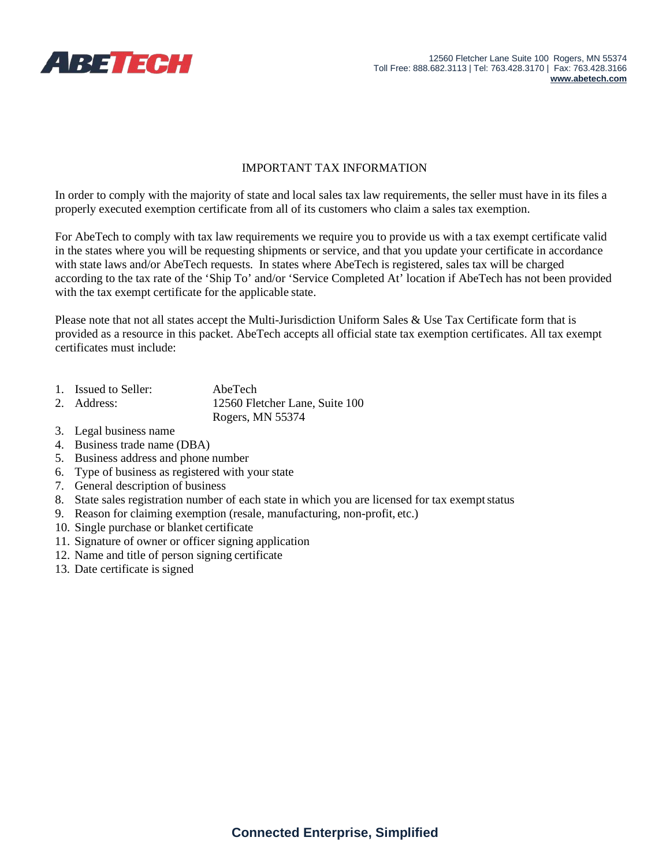

#### IMPORTANT TAX INFORMATION

In order to comply with the majority of state and local sales tax law requirements, the seller must have in its files a properly executed exemption certificate from all of its customers who claim a sales tax exemption.

For AbeTech to comply with tax law requirements we require you to provide us with a tax exempt certificate valid in the states where you will be requesting shipments or service, and that you update your certificate in accordance with state laws and/or AbeTech requests. In states where AbeTech is registered, sales tax will be charged according to the tax rate of the 'Ship To' and/or 'Service Completed At' location if AbeTech has not been provided with the tax exempt certificate for the applicable state.

Please note that not all states accept the Multi-Jurisdiction Uniform Sales & Use Tax Certificate form that is provided as a resource in this packet. AbeTech accepts all official state tax exemption certificates. All tax exempt certificates must include:

- 1. Issued to Seller: AbeTech
- 2. Address: 12560 Fletcher Lane, Suite 100

Rogers, MN 55374

- 3. Legal business name
- 4. Business trade name (DBA)
- 5. Business address and phone number
- 6. Type of business as registered with your state
- 7. General description of business
- 8. State sales registration number of each state in which you are licensed for tax exempt status
- 9. Reason for claiming exemption (resale, manufacturing, non-profit, etc.)
- 10. Single purchase or blanket certificate
- 11. Signature of owner or officer signing application
- 12. Name and title of person signing certificate
- 13. Date certificate is signed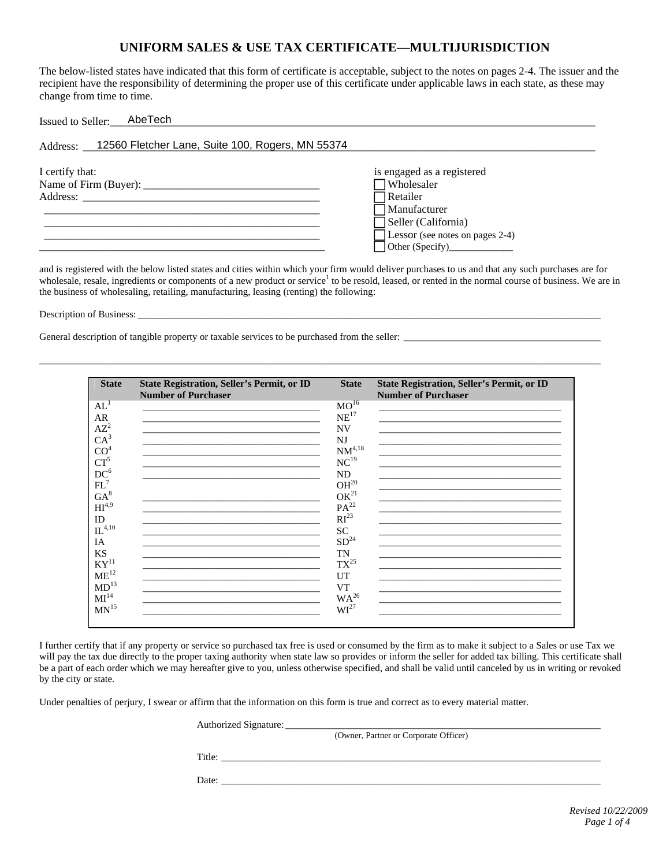#### **UNIFORM SALES & USE TAX CERTIFICATE—MULTIJURISDICTION**

The below-listed states have indicated that this form of certificate is acceptable, subject to the notes on pages 2-4. The issuer and the recipient have the responsibility of determining the proper use of this certificate under applicable laws in each state, as these may change from time to time.

| AbeTech<br>Issued to Seller:                              |                                                                                                                                       |
|-----------------------------------------------------------|---------------------------------------------------------------------------------------------------------------------------------------|
| Address: 12560 Fletcher Lane, Suite 100, Rogers, MN 55374 |                                                                                                                                       |
| I certify that:<br>Address:                               | is engaged as a registered<br>Wholesaler<br>Retailer<br>$\Box$ Manufacturer<br>Seller (California)<br>Lessor (see notes on pages 2-4) |

and is registered with the below listed states and cities within which your firm would deliver purchases to us and that any such purchases are for wholesale, resale, ingredients or components of a new product or service<sup>1</sup> to be resold, leased, or rented in the normal course of business. We are in the business of wholesaling, retailing, manufacturing, leasing (renting) the following:

\_\_\_\_\_\_\_\_\_\_\_\_\_\_\_\_\_\_\_\_\_\_\_\_\_\_\_\_\_\_\_\_\_\_\_\_\_\_\_\_\_\_\_\_\_\_\_\_\_\_\_\_\_\_\_\_\_\_\_\_\_\_\_\_\_\_\_\_\_\_\_\_\_\_\_\_\_\_\_\_\_\_\_\_\_\_\_\_\_\_\_\_\_\_\_\_\_\_\_\_\_\_\_\_\_\_\_\_\_\_\_\_\_\_

Description of Business:

General description of tangible property or taxable services to be purchased from the seller: \_\_\_\_\_\_\_\_\_\_\_\_\_\_\_\_\_\_\_\_\_\_\_\_\_\_\_\_\_\_\_\_\_\_\_\_\_\_\_\_

| <b>State</b>        | <b>State Registration, Seller's Permit, or ID</b><br><b>Number of Purchaser</b>           | <b>State</b>       | <b>State Registration, Seller's Permit, or ID</b><br><b>Number of Purchaser</b>                                                                                                                                               |
|---------------------|-------------------------------------------------------------------------------------------|--------------------|-------------------------------------------------------------------------------------------------------------------------------------------------------------------------------------------------------------------------------|
| $AL^1$              |                                                                                           | $MO^{16}$          |                                                                                                                                                                                                                               |
|                     | the control of the control of the control of the control of the control of the control of | NE <sup>17</sup>   | the control of the control of the control of the control of the control of the control of the control of the control of the control of the control of the control of the control of the control of the control of the control |
| <b>AR</b>           |                                                                                           |                    |                                                                                                                                                                                                                               |
| $AZ^2$              |                                                                                           | <b>NV</b>          |                                                                                                                                                                                                                               |
| CA <sup>3</sup>     |                                                                                           | <b>NJ</b>          |                                                                                                                                                                                                                               |
| CO <sup>4</sup>     |                                                                                           | $\text{NM}^{4,18}$ |                                                                                                                                                                                                                               |
| $CT^5$              |                                                                                           | NC <sup>19</sup>   | <u> 1989 - Johann Stoff, amerikansk politiker (d. 1989)</u>                                                                                                                                                                   |
| $DC^6$              |                                                                                           | ND                 |                                                                                                                                                                                                                               |
| FL'                 |                                                                                           | OH <sup>20</sup>   |                                                                                                                                                                                                                               |
| $GA^8$              |                                                                                           | OK <sup>21</sup>   |                                                                                                                                                                                                                               |
| HI <sup>4,9</sup>   |                                                                                           | $PA^{22}$          |                                                                                                                                                                                                                               |
|                     |                                                                                           | RI <sup>23</sup>   |                                                                                                                                                                                                                               |
| ID                  |                                                                                           |                    |                                                                                                                                                                                                                               |
| $\mathbf{L}^{4,10}$ |                                                                                           | <b>SC</b>          |                                                                                                                                                                                                                               |
| IA                  |                                                                                           | SD <sup>24</sup>   |                                                                                                                                                                                                                               |
| <b>KS</b>           |                                                                                           | <b>TN</b>          |                                                                                                                                                                                                                               |
| KY <sup>11</sup>    |                                                                                           | $TX^{25}$          |                                                                                                                                                                                                                               |
| $ME^{12}$           |                                                                                           | <b>UT</b>          |                                                                                                                                                                                                                               |
| $MD^{13}$           |                                                                                           | VT                 |                                                                                                                                                                                                                               |
| MI <sup>14</sup>    |                                                                                           | $WA^{26}$          |                                                                                                                                                                                                                               |
| MN <sup>15</sup>    |                                                                                           | WI <sup>27</sup>   |                                                                                                                                                                                                                               |
|                     |                                                                                           |                    |                                                                                                                                                                                                                               |

I further certify that if any property or service so purchased tax free is used or consumed by the firm as to make it subject to a Sales or use Tax we will pay the tax due directly to the proper taxing authority when state law so provides or inform the seller for added tax billing. This certificate shall be a part of each order which we may hereafter give to you, unless otherwise specified, and shall be valid until canceled by us in writing or revoked by the city or state.

Under penalties of perjury, I swear or affirm that the information on this form is true and correct as to every material matter.

Authorized Signature:

(Owner, Partner or Corporate Officer)

Title:

Date: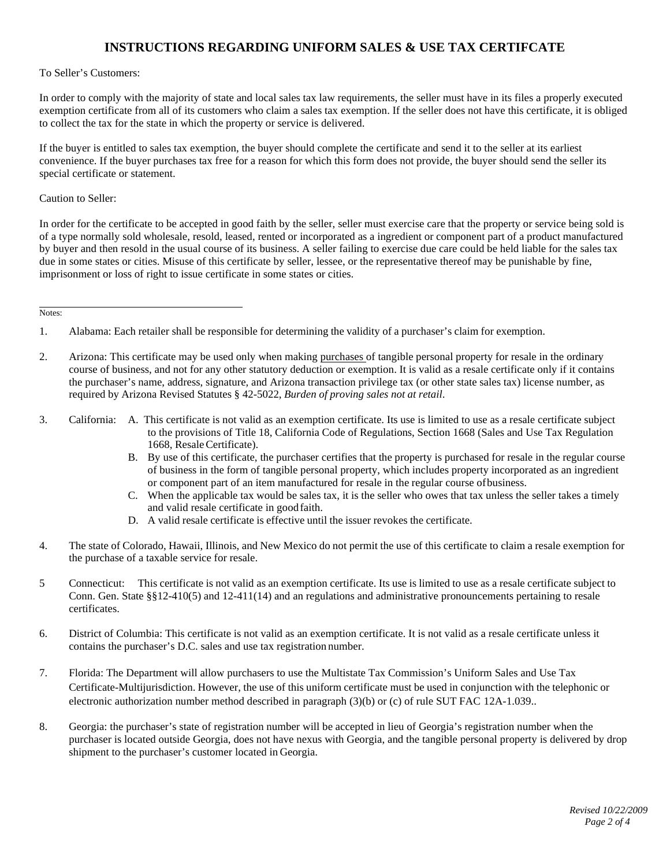### **INSTRUCTIONS REGARDING UNIFORM SALES & USE TAX CERTIFCATE**

#### To Seller's Customers:

In order to comply with the majority of state and local sales tax law requirements, the seller must have in its files a properly executed exemption certificate from all of its customers who claim a sales tax exemption. If the seller does not have this certificate, it is obliged to collect the tax for the state in which the property or service is delivered.

If the buyer is entitled to sales tax exemption, the buyer should complete the certificate and send it to the seller at its earliest convenience. If the buyer purchases tax free for a reason for which this form does not provide, the buyer should send the seller its special certificate or statement.

Caution to Seller:

In order for the certificate to be accepted in good faith by the seller, seller must exercise care that the property or service being sold is of a type normally sold wholesale, resold, leased, rented or incorporated as a ingredient or component part of a product manufactured by buyer and then resold in the usual course of its business. A seller failing to exercise due care could be held liable for the sales tax due in some states or cities. Misuse of this certificate by seller, lessee, or the representative thereof may be punishable by fine, imprisonment or loss of right to issue certificate in some states or cities.

Notes:

- 3. California: A. This certificate is not valid as an exemption certificate. Its use is limited to use as a resale certificate subject to the provisions of Title 18, California Code of Regulations, Section 1668 (Sales and Use Tax Regulation 1668, Resale Certificate).
	- B. By use of this certificate, the purchaser certifies that the property is purchased for resale in the regular course of business in the form of tangible personal property, which includes property incorporated as an ingredient or component part of an item manufactured for resale in the regular course ofbusiness.
	- C. When the applicable tax would be sales tax, it is the seller who owes that tax unless the seller takes a timely and valid resale certificate in goodfaith.
	- D. A valid resale certificate is effective until the issuer revokes the certificate.
- 4. The state of Colorado, Hawaii, Illinois, and New Mexico do not permit the use of this certificate to claim a resale exemption for the purchase of a taxable service for resale.
- 5 Connecticut: This certificate is not valid as an exemption certificate. Its use is limited to use as a resale certificate subject to Conn. Gen. State §§12-410(5) and 12-411(14) and an regulations and administrative pronouncements pertaining to resale certificates.
- 6. District of Columbia: This certificate is not valid as an exemption certificate. It is not valid as a resale certificate unless it contains the purchaser's D.C. sales and use tax registration number.
- 7. Florida: The Department will allow purchasers to use the Multistate Tax Commission's Uniform Sales and Use Tax Certificate-Multijurisdiction. However, the use of this uniform certificate must be used in conjunction with the telephonic or electronic authorization number method described in paragraph (3)(b) or (c) of rule SUT FAC 12A-1.039..
- 8. Georgia: the purchaser's state of registration number will be accepted in lieu of Georgia's registration number when the purchaser is located outside Georgia, does not have nexus with Georgia, and the tangible personal property is delivered by drop shipment to the purchaser's customer located in Georgia.

<sup>1.</sup> Alabama: Each retailer shall be responsible for determining the validity of a purchaser's claim for exemption.

<sup>2.</sup> Arizona: This certificate may be used only when making purchases of tangible personal property for resale in the ordinary course of business, and not for any other statutory deduction or exemption. It is valid as a resale certificate only if it contains the purchaser's name, address, signature, and Arizona transaction privilege tax (or other state sales tax) license number, as required by Arizona Revised Statutes § 42-5022, *Burden of proving sales not at retail*.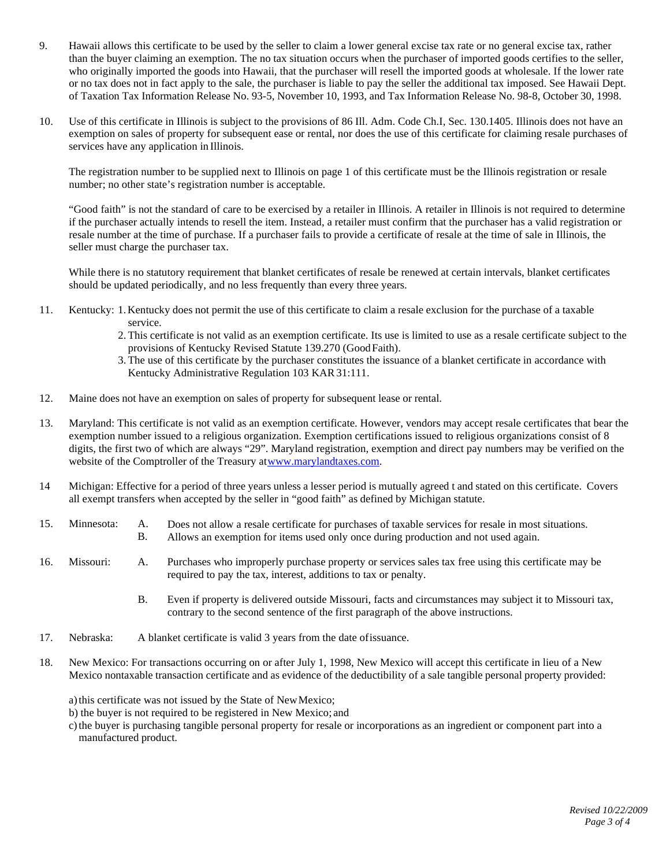- 9. Hawaii allows this certificate to be used by the seller to claim a lower general excise tax rate or no general excise tax, rather than the buyer claiming an exemption. The no tax situation occurs when the purchaser of imported goods certifies to the seller, who originally imported the goods into Hawaii, that the purchaser will resell the imported goods at wholesale. If the lower rate or no tax does not in fact apply to the sale, the purchaser is liable to pay the seller the additional tax imposed. See Hawaii Dept. of Taxation Tax Information Release No. 93-5, November 10, 1993, and Tax Information Release No. 98-8, October 30, 1998.
- 10. Use of this certificate in Illinois is subject to the provisions of 86 Ill. Adm. Code Ch.I, Sec. 130.1405. Illinois does not have an exemption on sales of property for subsequent ease or rental, nor does the use of this certificate for claiming resale purchases of services have any application in Illinois.

The registration number to be supplied next to Illinois on page 1 of this certificate must be the Illinois registration or resale number; no other state's registration number is acceptable.

"Good faith" is not the standard of care to be exercised by a retailer in Illinois. A retailer in Illinois is not required to determine if the purchaser actually intends to resell the item. Instead, a retailer must confirm that the purchaser has a valid registration or resale number at the time of purchase. If a purchaser fails to provide a certificate of resale at the time of sale in Illinois, the seller must charge the purchaser tax.

While there is no statutory requirement that blanket certificates of resale be renewed at certain intervals, blanket certificates should be updated periodically, and no less frequently than every three years.

- 11. Kentucky: 1.Kentucky does not permit the use of this certificate to claim a resale exclusion for the purchase of a taxable service.
	- 2. This certificate is not valid as an exemption certificate. Its use is limited to use as a resale certificate subject to the provisions of Kentucky Revised Statute 139.270 (GoodFaith).
	- 3. The use of this certificate by the purchaser constitutes the issuance of a blanket certificate in accordance with Kentucky Administrative Regulation 103 KAR31:111.
- 12. Maine does not have an exemption on sales of property for subsequent lease or rental.
- 13. Maryland: This certificate is not valid as an exemption certificate. However, vendors may accept resale certificates that bear the exemption number issued to a religious organization. Exemption certifications issued to religious organizations consist of 8 digits, the first two of which are always "29". Maryland registration, exemption and direct pay numbers may be verified on the website of the Comptroller of the Treasury a[twww.marylandtaxes.com.](http://www.marylandtaxes.com/)
- 14 Michigan: Effective for a period of three years unless a lesser period is mutually agreed t and stated on this certificate. Covers all exempt transfers when accepted by the seller in "good faith" as defined by Michigan statute.
- 15. Minnesota: A. Does not allow a resale certificate for purchases of taxable services for resale in most situations.
	- B. Allows an exemption for items used only once during production and not used again.
- 16. Missouri: A. Purchases who improperly purchase property or services sales tax free using this certificate may be required to pay the tax, interest, additions to tax or penalty.
	- B. Even if property is delivered outside Missouri, facts and circumstances may subject it to Missouri tax, contrary to the second sentence of the first paragraph of the above instructions.
- 17. Nebraska: A blanket certificate is valid 3 years from the date ofissuance.
- 18. New Mexico: For transactions occurring on or after July 1, 1998, New Mexico will accept this certificate in lieu of a New Mexico nontaxable transaction certificate and as evidence of the deductibility of a sale tangible personal property provided:

a) this certificate was not issued by the State of New Mexico;

- b) the buyer is not required to be registered in New Mexico; and
- c) the buyer is purchasing tangible personal property for resale or incorporations as an ingredient or component part into a manufactured product.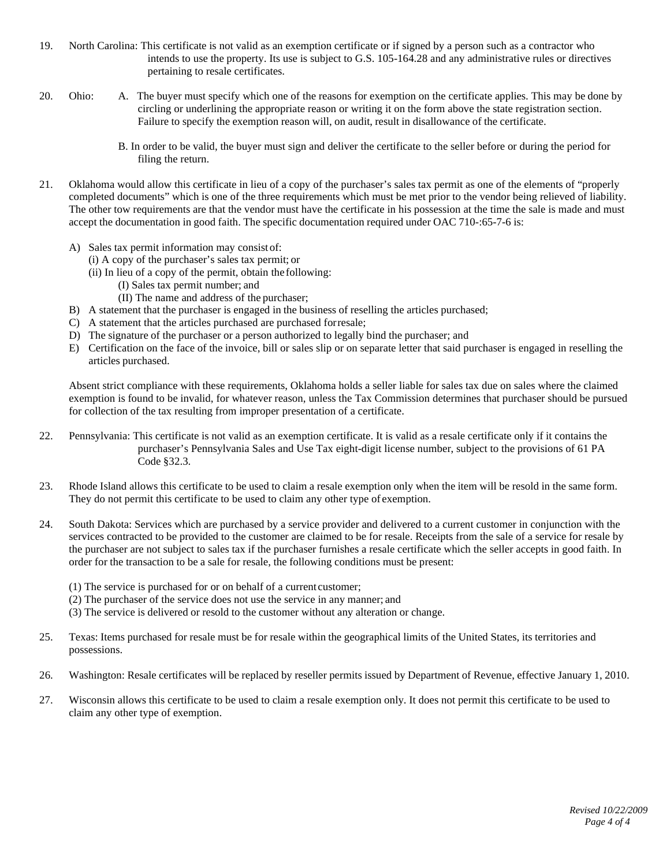- 19. North Carolina: This certificate is not valid as an exemption certificate or if signed by a person such as a contractor who intends to use the property. Its use is subject to G.S. 105-164.28 and any administrative rules or directives pertaining to resale certificates.
- 20. Ohio: A. The buyer must specify which one of the reasons for exemption on the certificate applies. This may be done by circling or underlining the appropriate reason or writing it on the form above the state registration section. Failure to specify the exemption reason will, on audit, result in disallowance of the certificate.
	- B. In order to be valid, the buyer must sign and deliver the certificate to the seller before or during the period for filing the return.
- 21. Oklahoma would allow this certificate in lieu of a copy of the purchaser's sales tax permit as one of the elements of "properly completed documents" which is one of the three requirements which must be met prior to the vendor being relieved of liability. The other tow requirements are that the vendor must have the certificate in his possession at the time the sale is made and must accept the documentation in good faith. The specific documentation required under OAC 710-:65-7-6 is:
	- A) Sales tax permit information may consist of:
		- (i) A copy of the purchaser's sales tax permit; or
		- (ii) In lieu of a copy of the permit, obtain the following:
			- (I) Sales tax permit number; and
			- (II) The name and address of the purchaser;
	- B) A statement that the purchaser is engaged in the business of reselling the articles purchased;
	- C) A statement that the articles purchased are purchased forresale;
	- D) The signature of the purchaser or a person authorized to legally bind the purchaser; and
	- E) Certification on the face of the invoice, bill or sales slip or on separate letter that said purchaser is engaged in reselling the articles purchased.

Absent strict compliance with these requirements, Oklahoma holds a seller liable for sales tax due on sales where the claimed exemption is found to be invalid, for whatever reason, unless the Tax Commission determines that purchaser should be pursued for collection of the tax resulting from improper presentation of a certificate.

- 22. Pennsylvania: This certificate is not valid as an exemption certificate. It is valid as a resale certificate only if it contains the purchaser's Pennsylvania Sales and Use Tax eight-digit license number, subject to the provisions of 61 PA Code §32.3.
- 23. Rhode Island allows this certificate to be used to claim a resale exemption only when the item will be resold in the same form. They do not permit this certificate to be used to claim any other type of exemption.
- 24. South Dakota: Services which are purchased by a service provider and delivered to a current customer in conjunction with the services contracted to be provided to the customer are claimed to be for resale. Receipts from the sale of a service for resale by the purchaser are not subject to sales tax if the purchaser furnishes a resale certificate which the seller accepts in good faith. In order for the transaction to be a sale for resale, the following conditions must be present:
	- (1) The service is purchased for or on behalf of a current customer;
	- (2) The purchaser of the service does not use the service in any manner; and
	- (3) The service is delivered or resold to the customer without any alteration or change.
- 25. Texas: Items purchased for resale must be for resale within the geographical limits of the United States, its territories and possessions.
- 26. Washington: Resale certificates will be replaced by reseller permits issued by Department of Revenue, effective January 1, 2010.
- 27. Wisconsin allows this certificate to be used to claim a resale exemption only. It does not permit this certificate to be used to claim any other type of exemption.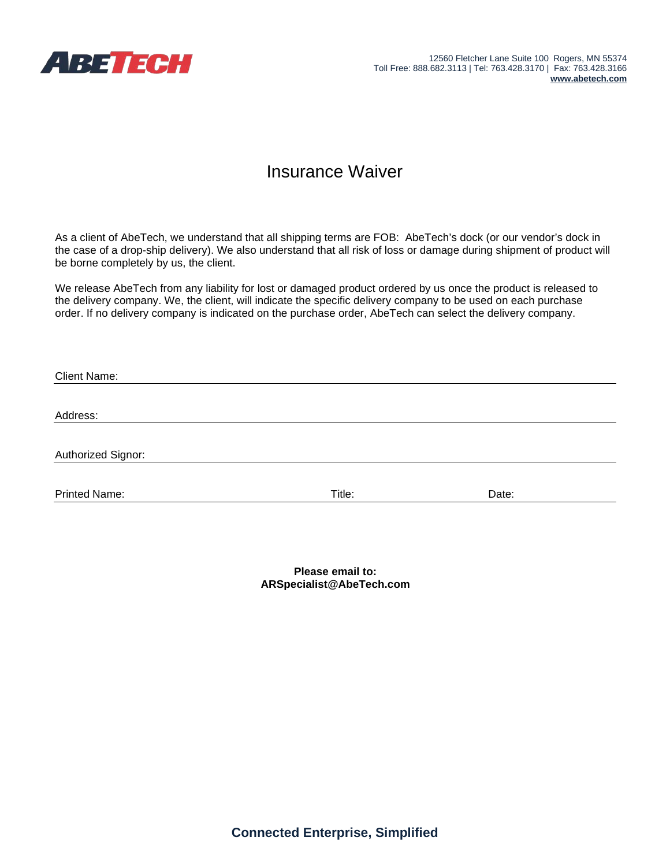

## Insurance Waiver

As a client of AbeTech, we understand that all shipping terms are FOB: AbeTech's dock (or our vendor's dock in the case of a drop-ship delivery). We also understand that all risk of loss or damage during shipment of product will be borne completely by us, the client.

We release AbeTech from any liability for lost or damaged product ordered by us once the product is released to the delivery company. We, the client, will indicate the specific delivery company to be used on each purchase order. If no delivery company is indicated on the purchase order, AbeTech can select the delivery company.

| <b>Client Name:</b>  |        |       |  |
|----------------------|--------|-------|--|
|                      |        |       |  |
| Address:             |        |       |  |
|                      |        |       |  |
| Authorized Signor:   |        |       |  |
| <b>Printed Name:</b> | Title: | Date: |  |

**Please email to: [ARSpecialist@AbeTech.com](mailto:ARSpecialist@AbeTech.com)**